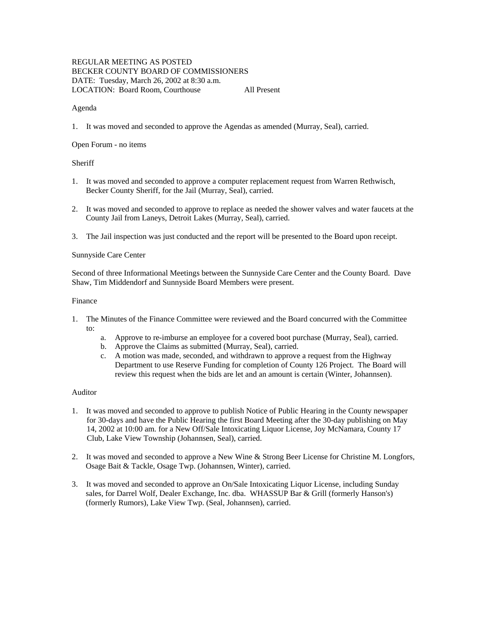# REGULAR MEETING AS POSTED BECKER COUNTY BOARD OF COMMISSIONERS DATE: Tuesday, March 26, 2002 at 8:30 a.m. LOCATION: Board Room, Courthouse All Present

### Agenda

1. It was moved and seconded to approve the Agendas as amended (Murray, Seal), carried.

### Open Forum - no items

## **Sheriff**

- 1. It was moved and seconded to approve a computer replacement request from Warren Rethwisch, Becker County Sheriff, for the Jail (Murray, Seal), carried.
- 2. It was moved and seconded to approve to replace as needed the shower valves and water faucets at the County Jail from Laneys, Detroit Lakes (Murray, Seal), carried.
- 3. The Jail inspection was just conducted and the report will be presented to the Board upon receipt.

## Sunnyside Care Center

Second of three Informational Meetings between the Sunnyside Care Center and the County Board. Dave Shaw, Tim Middendorf and Sunnyside Board Members were present.

#### Finance

- 1. The Minutes of the Finance Committee were reviewed and the Board concurred with the Committee to:
	- a. Approve to re-imburse an employee for a covered boot purchase (Murray, Seal), carried.
	- b. Approve the Claims as submitted (Murray, Seal), carried.
	- c. A motion was made, seconded, and withdrawn to approve a request from the Highway Department to use Reserve Funding for completion of County 126 Project. The Board will review this request when the bids are let and an amount is certain (Winter, Johannsen).

### Auditor

- 1. It was moved and seconded to approve to publish Notice of Public Hearing in the County newspaper for 30-days and have the Public Hearing the first Board Meeting after the 30-day publishing on May 14, 2002 at 10:00 am. for a New Off/Sale Intoxicating Liquor License, Joy McNamara, County 17 Club, Lake View Township (Johannsen, Seal), carried.
- 2. It was moved and seconded to approve a New Wine & Strong Beer License for Christine M. Longfors, Osage Bait & Tackle, Osage Twp. (Johannsen, Winter), carried.
- 3. It was moved and seconded to approve an On/Sale Intoxicating Liquor License, including Sunday sales, for Darrel Wolf, Dealer Exchange, Inc. dba. WHASSUP Bar & Grill (formerly Hanson's) (formerly Rumors), Lake View Twp. (Seal, Johannsen), carried.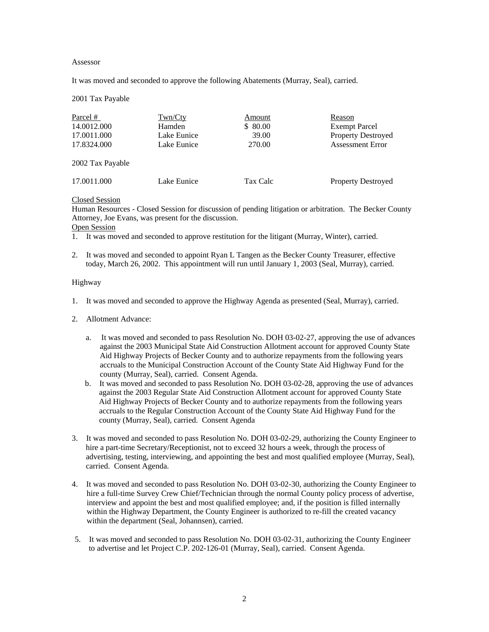#### Assessor

It was moved and seconded to approve the following Abatements (Murray, Seal), carried.

2001 Tax Payable

| Parcel #         | Twn/Cty     | Amount   | Reason                    |
|------------------|-------------|----------|---------------------------|
| 14.0012.000      | Hamden      | \$ 80.00 | <b>Exempt Parcel</b>      |
| 17.0011.000      | Lake Eunice | 39.00    | <b>Property Destroyed</b> |
| 17.8324.000      | Lake Eunice | 270.00   | <b>Assessment Error</b>   |
| 2002 Tax Payable |             |          |                           |

17.0011.000 Lake Eunice Tax Calc Property Destroyed

Closed Session

Human Resources - Closed Session for discussion of pending litigation or arbitration. The Becker County Attorney, Joe Evans, was present for the discussion. Open Session

- 1. It was moved and seconded to approve restitution for the litigant (Murray, Winter), carried.
- 2. It was moved and seconded to appoint Ryan L Tangen as the Becker County Treasurer, effective today, March 26, 2002. This appointment will run until January 1, 2003 (Seal, Murray), carried.

#### Highway

- 1. It was moved and seconded to approve the Highway Agenda as presented (Seal, Murray), carried.
- 2. Allotment Advance:
	- a. It was moved and seconded to pass Resolution No. DOH 03-02-27, approving the use of advances against the 2003 Municipal State Aid Construction Allotment account for approved County State Aid Highway Projects of Becker County and to authorize repayments from the following years accruals to the Municipal Construction Account of the County State Aid Highway Fund for the county (Murray, Seal), carried. Consent Agenda.
	- b. It was moved and seconded to pass Resolution No. DOH 03-02-28, approving the use of advances against the 2003 Regular State Aid Construction Allotment account for approved County State Aid Highway Projects of Becker County and to authorize repayments from the following years accruals to the Regular Construction Account of the County State Aid Highway Fund for the county (Murray, Seal), carried. Consent Agenda
- 3. It was moved and seconded to pass Resolution No. DOH 03-02-29, authorizing the County Engineer to hire a part-time Secretary/Receptionist, not to exceed 32 hours a week, through the process of advertising, testing, interviewing, and appointing the best and most qualified employee (Murray, Seal), carried. Consent Agenda.
- 4. It was moved and seconded to pass Resolution No. DOH 03-02-30, authorizing the County Engineer to hire a full-time Survey Crew Chief/Technician through the normal County policy process of advertise, interview and appoint the best and most qualified employee; and, if the position is filled internally within the Highway Department, the County Engineer is authorized to re-fill the created vacancy within the department (Seal, Johannsen), carried.
- 5. It was moved and seconded to pass Resolution No. DOH 03-02-31, authorizing the County Engineer to advertise and let Project C.P. 202-126-01 (Murray, Seal), carried. Consent Agenda.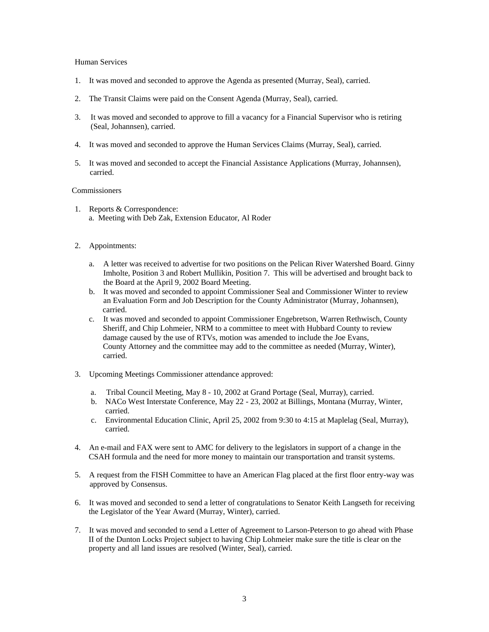#### Human Services

- 1. It was moved and seconded to approve the Agenda as presented (Murray, Seal), carried.
- 2. The Transit Claims were paid on the Consent Agenda (Murray, Seal), carried.
- 3. It was moved and seconded to approve to fill a vacancy for a Financial Supervisor who is retiring (Seal, Johannsen), carried.
- 4. It was moved and seconded to approve the Human Services Claims (Murray, Seal), carried.
- 5. It was moved and seconded to accept the Financial Assistance Applications (Murray, Johannsen), carried.

#### Commissioners

1. Reports & Correspondence: a. Meeting with Deb Zak, Extension Educator, Al Roder

### 2. Appointments:

- a. A letter was received to advertise for two positions on the Pelican River Watershed Board. Ginny Imholte, Position 3 and Robert Mullikin, Position 7. This will be advertised and brought back to the Board at the April 9, 2002 Board Meeting.
- b. It was moved and seconded to appoint Commissioner Seal and Commissioner Winter to review an Evaluation Form and Job Description for the County Administrator (Murray, Johannsen), carried.
- c. It was moved and seconded to appoint Commissioner Engebretson, Warren Rethwisch, County Sheriff, and Chip Lohmeier, NRM to a committee to meet with Hubbard County to review damage caused by the use of RTVs, motion was amended to include the Joe Evans, County Attorney and the committee may add to the committee as needed (Murray, Winter), carried.
- 3. Upcoming Meetings Commissioner attendance approved:
	- a. Tribal Council Meeting, May 8 10, 2002 at Grand Portage (Seal, Murray), carried.
	- b. NACo West Interstate Conference, May 22 23, 2002 at Billings, Montana (Murray, Winter, carried.
	- c. Environmental Education Clinic, April 25, 2002 from 9:30 to 4:15 at Maplelag (Seal, Murray), carried.
- 4. An e-mail and FAX were sent to AMC for delivery to the legislators in support of a change in the CSAH formula and the need for more money to maintain our transportation and transit systems.
- 5. A request from the FISH Committee to have an American Flag placed at the first floor entry-way was approved by Consensus.
- 6. It was moved and seconded to send a letter of congratulations to Senator Keith Langseth for receiving the Legislator of the Year Award (Murray, Winter), carried.
- 7. It was moved and seconded to send a Letter of Agreement to Larson-Peterson to go ahead with Phase II of the Dunton Locks Project subject to having Chip Lohmeier make sure the title is clear on the property and all land issues are resolved (Winter, Seal), carried.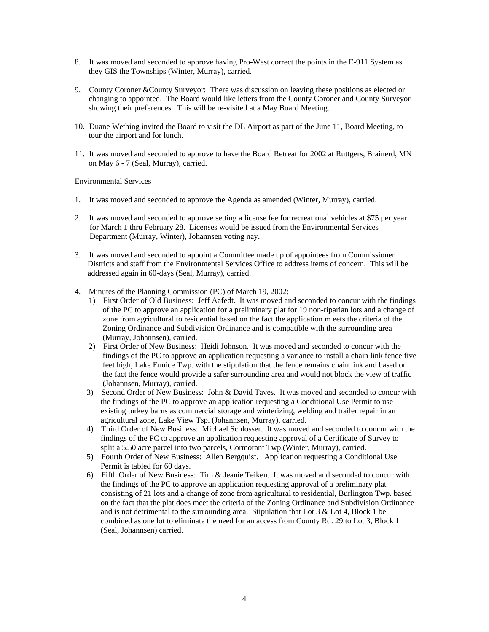- 8. It was moved and seconded to approve having Pro-West correct the points in the E-911 System as they GIS the Townships (Winter, Murray), carried.
- 9. County Coroner &County Surveyor: There was discussion on leaving these positions as elected or changing to appointed. The Board would like letters from the County Coroner and County Surveyor showing their preferences. This will be re-visited at a May Board Meeting.
- 10. Duane Wething invited the Board to visit the DL Airport as part of the June 11, Board Meeting, to tour the airport and for lunch.
- 11. It was moved and seconded to approve to have the Board Retreat for 2002 at Ruttgers, Brainerd, MN on May 6 - 7 (Seal, Murray), carried.

Environmental Services

- 1. It was moved and seconded to approve the Agenda as amended (Winter, Murray), carried.
- 2. It was moved and seconded to approve setting a license fee for recreational vehicles at \$75 per year for March 1 thru February 28. Licenses would be issued from the Environmental Services Department (Murray, Winter), Johannsen voting nay.
- 3. It was moved and seconded to appoint a Committee made up of appointees from Commissioner Districts and staff from the Environmental Services Office to address items of concern. This will be addressed again in 60-days (Seal, Murray), carried.
- 4. Minutes of the Planning Commission (PC) of March 19, 2002:
	- 1) First Order of Old Business: Jeff Aafedt. It was moved and seconded to concur with the findings of the PC to approve an application for a preliminary plat for 19 non-riparian lots and a change of zone from agricultural to residential based on the fact the application m eets the criteria of the Zoning Ordinance and Subdivision Ordinance and is compatible with the surrounding area (Murray, Johannsen), carried.
	- 2) First Order of New Business: Heidi Johnson. It was moved and seconded to concur with the findings of the PC to approve an application requesting a variance to install a chain link fence five feet high, Lake Eunice Twp. with the stipulation that the fence remains chain link and based on the fact the fence would provide a safer surrounding area and would not block the view of traffic (Johannsen, Murray), carried.
	- 3) Second Order of New Business: John & David Taves. It was moved and seconded to concur with the findings of the PC to approve an application requesting a Conditional Use Permit to use existing turkey barns as commercial storage and winterizing, welding and trailer repair in an agricultural zone, Lake View Tsp. (Johannsen, Murray), carried.
	- 4) Third Order of New Business: Michael Schlosser. It was moved and seconded to concur with the findings of the PC to approve an application requesting approval of a Certificate of Survey to split a 5.50 acre parcel into two parcels, Cormorant Twp.(Winter, Murray), carried.
	- 5) Fourth Order of New Business: Allen Bergquist. Application requesting a Conditional Use Permit is tabled for 60 days.
	- 6) Fifth Order of New Business: Tim & Jeanie Teiken. It was moved and seconded to concur with the findings of the PC to approve an application requesting approval of a preliminary plat consisting of 21 lots and a change of zone from agricultural to residential, Burlington Twp. based on the fact that the plat does meet the criteria of the Zoning Ordinance and Subdivision Ordinance and is not detrimental to the surrounding area. Stipulation that Lot  $3 \&$  Lot  $4$ , Block 1 be combined as one lot to eliminate the need for an access from County Rd. 29 to Lot 3, Block 1 (Seal, Johannsen) carried.